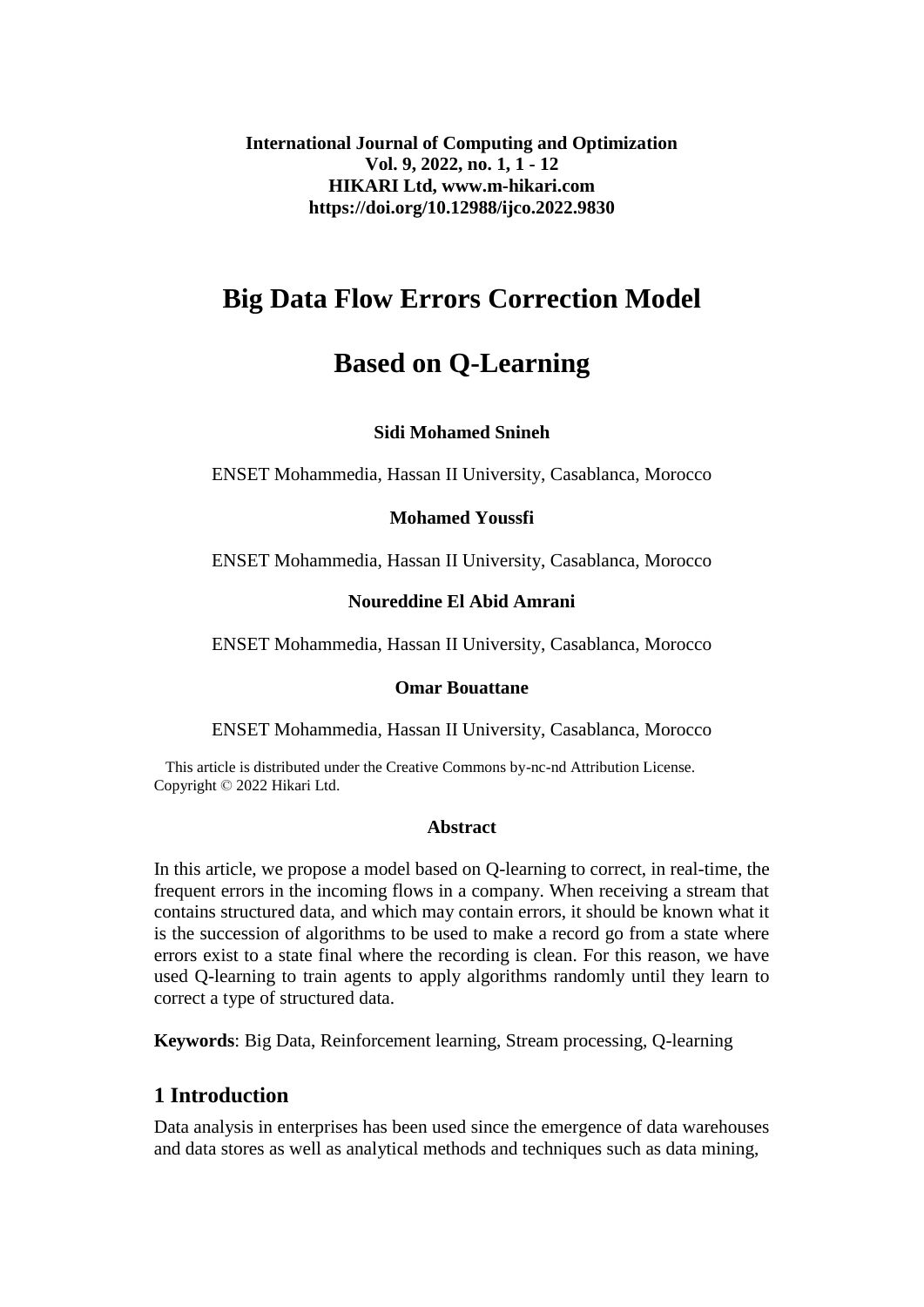**International Journal of Computing and Optimization Vol. 9, 2022, no. 1, 1 - 12 HIKARI Ltd, www.m-hikari.com https://doi.org/10.12988/ijco.2022.9830**

# **Big Data Flow Errors Correction Model**

# **Based on Q-Learning**

## **Sidi Mohamed Snineh**

ENSET Mohammedia, Hassan II University, Casablanca, Morocco

### **Mohamed Youssfi**

ENSET Mohammedia, Hassan II University, Casablanca, Morocco

### **Noureddine El Abid Amrani**

ENSET Mohammedia, Hassan II University, Casablanca, Morocco

#### **Omar Bouattane**

ENSET Mohammedia, Hassan II University, Casablanca, Morocco

 This article is distributed under the Creative Commons by-nc-nd Attribution License. Copyright © 2022 Hikari Ltd.

### **Abstract**

In this article, we propose a model based on Q-learning to correct, in real-time, the frequent errors in the incoming flows in a company. When receiving a stream that contains structured data, and which may contain errors, it should be known what it is the succession of algorithms to be used to make a record go from a state where errors exist to a state final where the recording is clean. For this reason, we have used Q-learning to train agents to apply algorithms randomly until they learn to correct a type of structured data.

**Keywords**: Big Data, Reinforcement learning, Stream processing, Q-learning

# **1 Introduction**

Data analysis in enterprises has been used since the emergence of data warehouses and data stores as well as analytical methods and techniques such as data mining,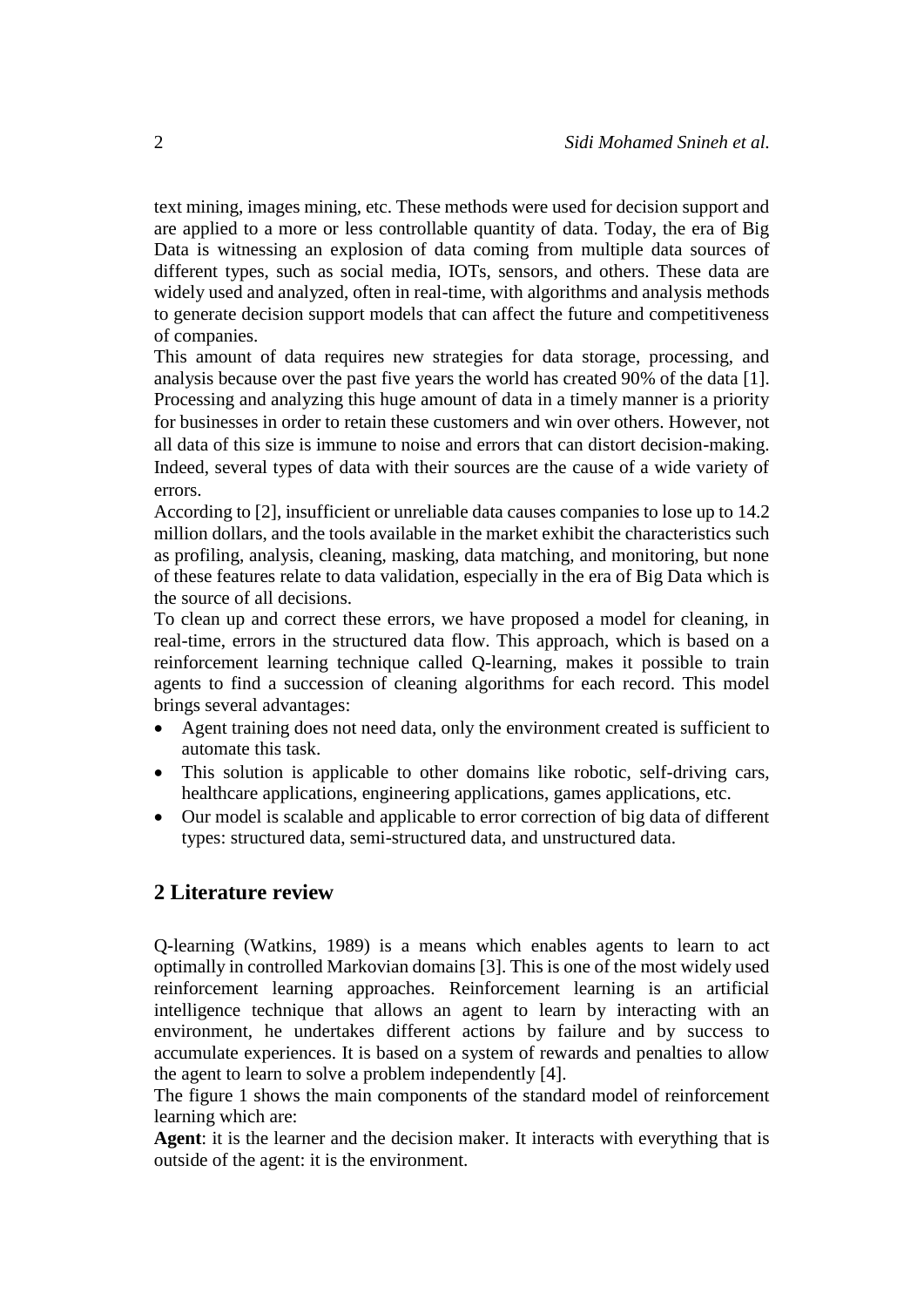text mining, images mining, etc. These methods were used for decision support and are applied to a more or less controllable quantity of data. Today, the era of Big Data is witnessing an explosion of data coming from multiple data sources of different types, such as social media, IOTs, sensors, and others. These data are widely used and analyzed, often in real-time, with algorithms and analysis methods to generate decision support models that can affect the future and competitiveness of companies.

This amount of data requires new strategies for data storage, processing, and analysis because over the past five years the world has created 90% of the data [1]. Processing and analyzing this huge amount of data in a timely manner is a priority for businesses in order to retain these customers and win over others. However, not all data of this size is immune to noise and errors that can distort decision-making. Indeed, several types of data with their sources are the cause of a wide variety of errors.

According to [2], insufficient or unreliable data causes companies to lose up to 14.2 million dollars, and the tools available in the market exhibit the characteristics such as profiling, analysis, cleaning, masking, data matching, and monitoring, but none of these features relate to data validation, especially in the era of Big Data which is the source of all decisions.

To clean up and correct these errors, we have proposed a model for cleaning, in real-time, errors in the structured data flow. This approach, which is based on a reinforcement learning technique called Q-learning, makes it possible to train agents to find a succession of cleaning algorithms for each record. This model brings several advantages:

- Agent training does not need data, only the environment created is sufficient to automate this task.
- This solution is applicable to other domains like robotic, self-driving cars, healthcare applications, engineering applications, games applications, etc.
- Our model is scalable and applicable to error correction of big data of different types: structured data, semi-structured data, and unstructured data.

# **2 Literature review**

Q-learning (Watkins, 1989) is a means which enables agents to learn to act optimally in controlled Markovian domains [3]. This is one of the most widely used reinforcement learning approaches. Reinforcement learning is an artificial intelligence technique that allows an agent to learn by interacting with an environment, he undertakes different actions by failure and by success to accumulate experiences. It is based on a system of rewards and penalties to allow the agent to learn to solve a problem independently [4].

The figure 1 shows the main components of the standard model of reinforcement learning which are:

**Agent**: it is the learner and the decision maker. It interacts with everything that is outside of the agent: it is the environment.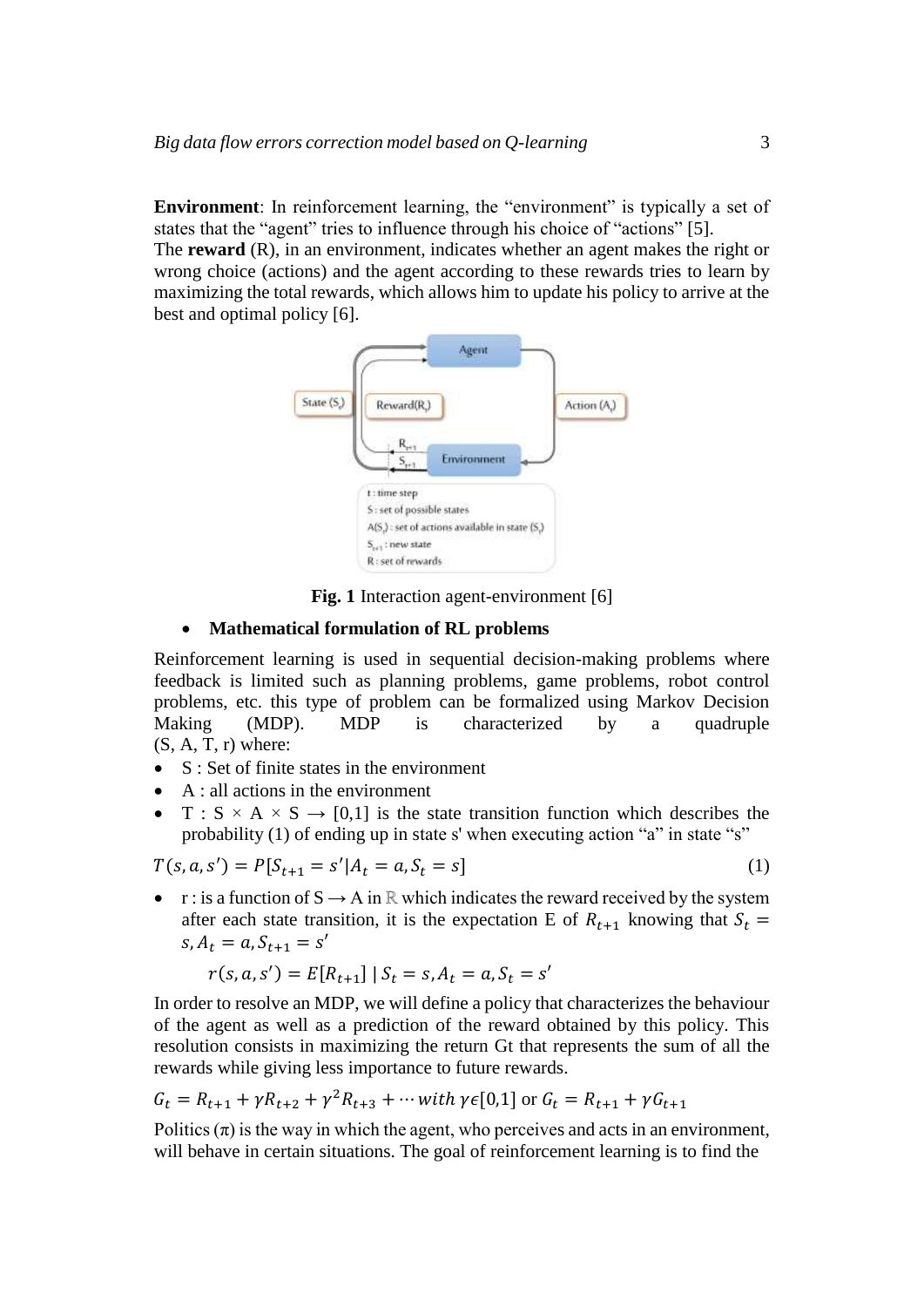**Environment**: In reinforcement learning, the "environment" is typically a set of states that the "agent" tries to influence through his choice of "actions" [5]. The **reward** (R), in an environment, indicates whether an agent makes the right or wrong choice (actions) and the agent according to these rewards tries to learn by maximizing the total rewards, which allows him to update his policy to arrive at the



**Fig. 1** Interaction agent-environment [6]

#### **Mathematical formulation of RL problems**

Reinforcement learning is used in sequential decision-making problems where feedback is limited such as planning problems, game problems, robot control problems, etc. this type of problem can be formalized using Markov Decision Making (MDP). MDP is characterized by a quadruple  $(S, A, T, r)$  where:

- S : Set of finite states in the environment
- $\bullet$  A : all actions in the environment
- $T : S \times A \times S \rightarrow [0,1]$  is the state transition function which describes the probability (1) of ending up in state s' when executing action "a" in state "s"

$$
T(s, a, s') = P[S_{t+1} = s' | A_t = a, S_t = s]
$$
\n(1)

•  $r :$  is a function of  $S \to A$  in  $\mathbb R$  which indicates the reward received by the system after each state transition, it is the expectation E of  $R_{t+1}$  knowing that  $S_t$  =  $s, A_t = a, S_{t+1} = s'$ 

$$
r(s, a, s') = E[R_{t+1}] | S_t = s, A_t = a, S_t = s'
$$

In order to resolve an MDP, we will define a policy that characterizes the behaviour of the agent as well as a prediction of the reward obtained by this policy. This resolution consists in maximizing the return Gt that represents the sum of all the rewards while giving less importance to future rewards.

$$
G_t = R_{t+1} + \gamma R_{t+2} + \gamma^2 R_{t+3} + \cdots \text{ with } \gamma \in [0,1] \text{ or } G_t = R_{t+1} + \gamma G_{t+1}
$$

Politics  $(\pi)$  is the way in which the agent, who perceives and acts in an environment, will behave in certain situations. The goal of reinforcement learning is to find the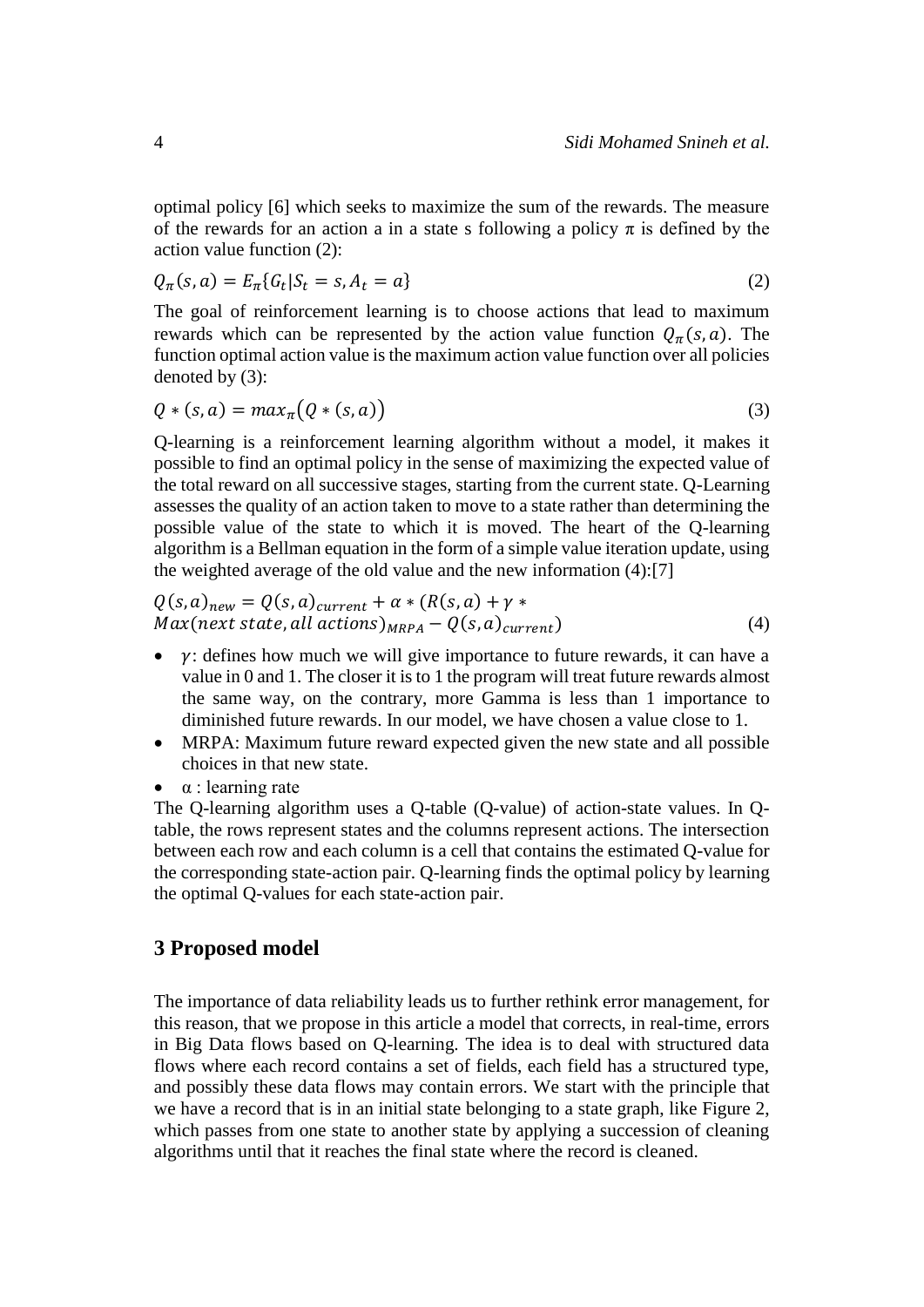optimal policy [6] which seeks to maximize the sum of the rewards. The measure of the rewards for an action a in a state s following a policy  $\pi$  is defined by the action value function (2):

$$
Q_{\pi}(s, a) = E_{\pi}\{G_t | S_t = s, A_t = a\}
$$
 (2)

The goal of reinforcement learning is to choose actions that lead to maximum rewards which can be represented by the action value function  $Q_{\pi}(s, a)$ . The function optimal action value is the maximum action value function over all policies denoted by (3):

$$
Q * (s, a) = max_{\pi} (Q * (s, a))
$$
\n(3)

Q-learning is a reinforcement learning algorithm without a model, it makes it possible to find an optimal policy in the sense of maximizing the expected value of the total reward on all successive stages, starting from the current state. Q-Learning assesses the quality of an action taken to move to a state rather than determining the possible value of the state to which it is moved. The heart of the Q-learning algorithm is a Bellman equation in the form of a simple value iteration update, using the weighted average of the old value and the new information (4):[7]

$$
Q(s, a)_{new} = Q(s, a)_{current} + \alpha * (R(s, a) + \gamma *Max(next state, all actions)_{MRPA} - Q(s, a)_{current})
$$
\n(4)

- $\bullet$   $\gamma$ : defines how much we will give importance to future rewards, it can have a value in 0 and 1. The closer it is to 1 the program will treat future rewards almost the same way, on the contrary, more Gamma is less than 1 importance to diminished future rewards. In our model, we have chosen a value close to 1.
- MRPA: Maximum future reward expected given the new state and all possible choices in that new state.
- α : learning rate

The Q-learning algorithm uses a Q-table (Q-value) of action-state values. In Qtable, the rows represent states and the columns represent actions. The intersection between each row and each column is a cell that contains the estimated Q-value for the corresponding state-action pair. Q-learning finds the optimal policy by learning the optimal Q-values for each state-action pair.

### **3 Proposed model**

The importance of data reliability leads us to further rethink error management, for this reason, that we propose in this article a model that corrects, in real-time, errors in Big Data flows based on Q-learning. The idea is to deal with structured data flows where each record contains a set of fields, each field has a structured type, and possibly these data flows may contain errors. We start with the principle that we have a record that is in an initial state belonging to a state graph, like Figure 2, which passes from one state to another state by applying a succession of cleaning algorithms until that it reaches the final state where the record is cleaned.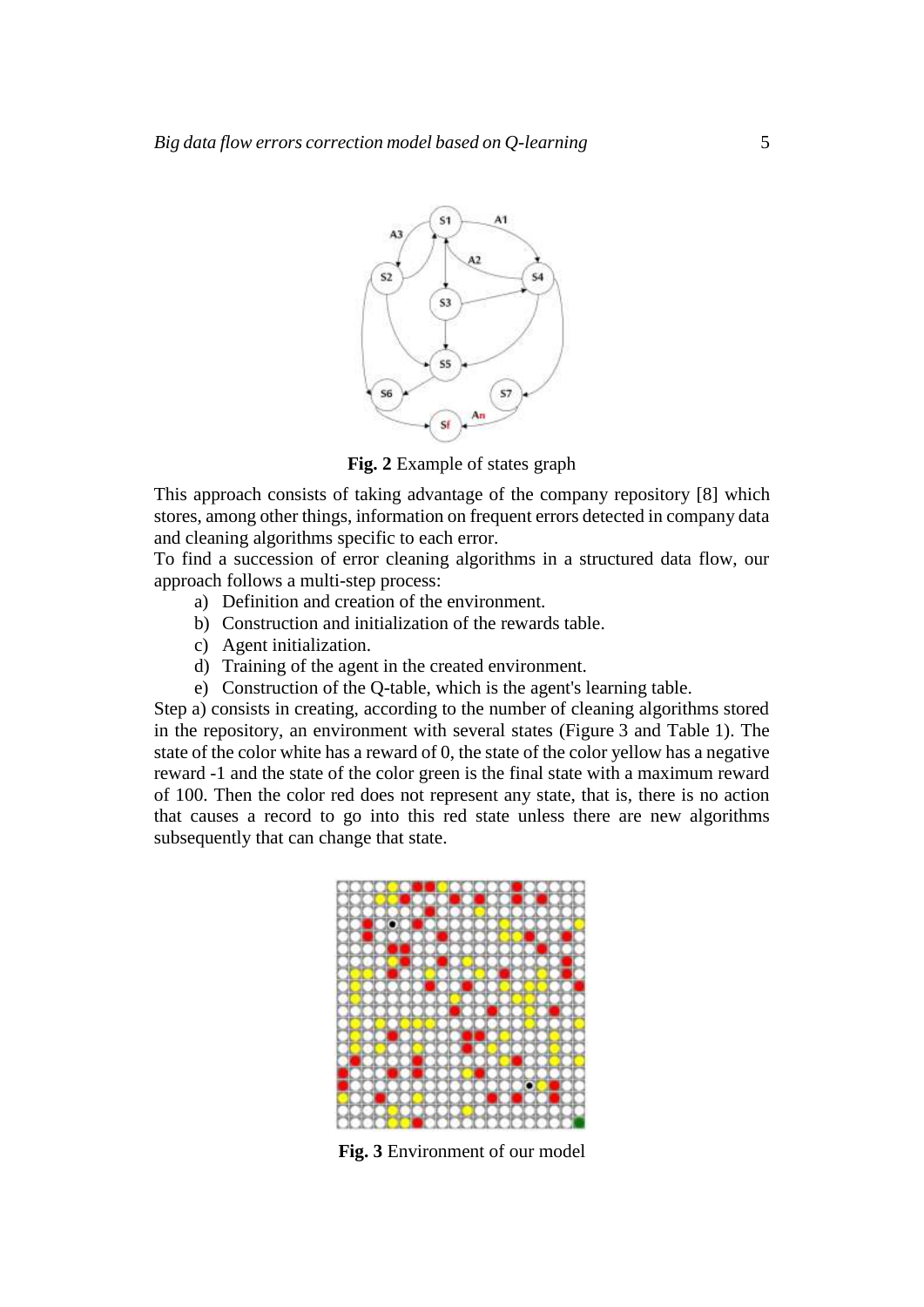

**Fig. 2** Example of states graph

This approach consists of taking advantage of the company repository [8] which stores, among other things, information on frequent errors detected in company data and cleaning algorithms specific to each error.

To find a succession of error cleaning algorithms in a structured data flow, our approach follows a multi-step process:

- a) Definition and creation of the environment.
- b) Construction and initialization of the rewards table.
- c) Agent initialization.
- d) Training of the agent in the created environment.
- e) Construction of the Q-table, which is the agent's learning table.

Step a) consists in creating, according to the number of cleaning algorithms stored in the repository, an environment with several states (Figure 3 and Table 1). The state of the color white has a reward of 0, the state of the color yellow has a negative reward -1 and the state of the color green is the final state with a maximum reward of 100. Then the color red does not represent any state, that is, there is no action that causes a record to go into this red state unless there are new algorithms subsequently that can change that state.



**Fig. 3** Environment of our model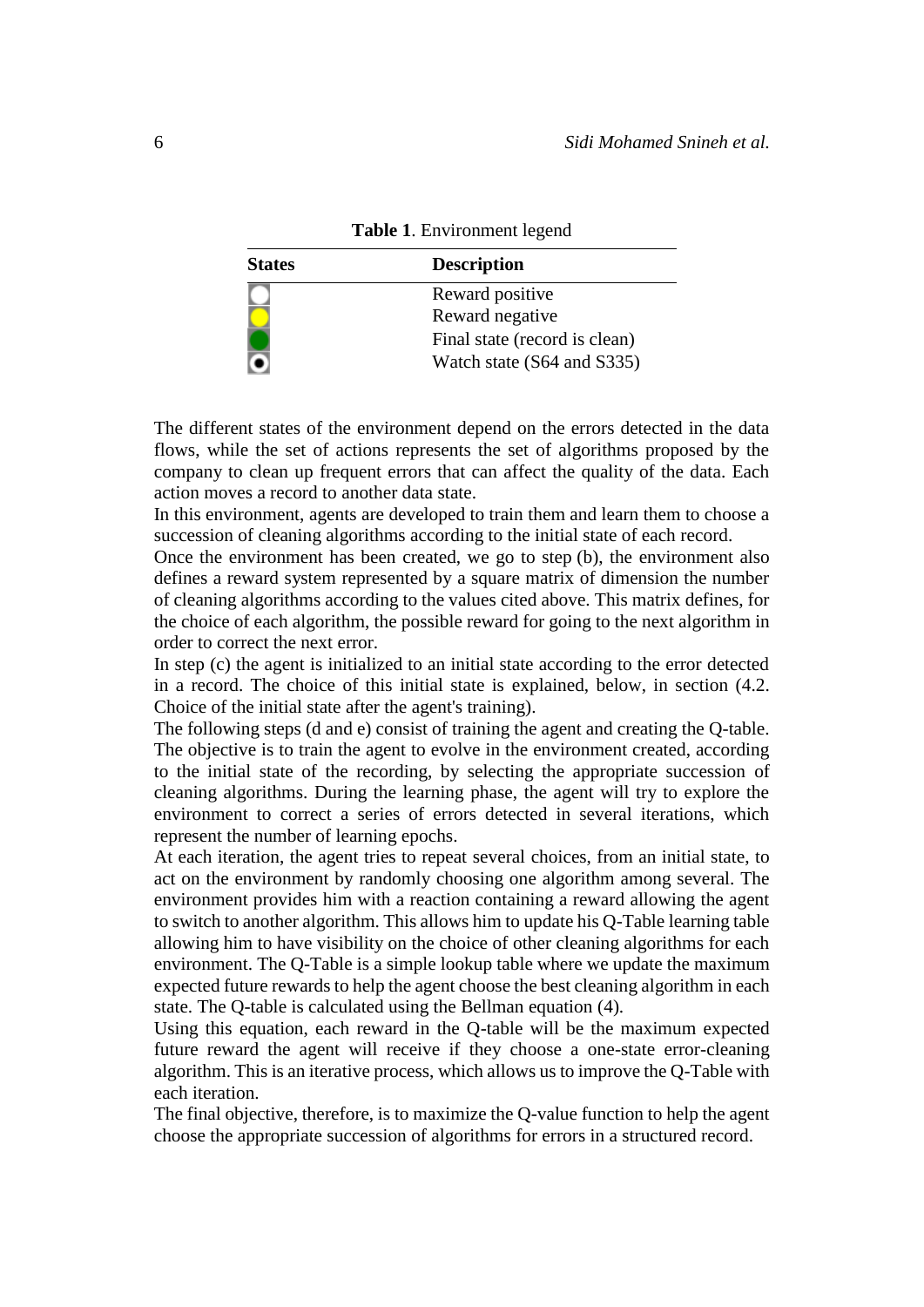| <b>States</b> | <b>Description</b>            |  |  |
|---------------|-------------------------------|--|--|
|               | Reward positive               |  |  |
|               | Reward negative               |  |  |
|               | Final state (record is clean) |  |  |
|               | Watch state (S64 and S335)    |  |  |

**Table 1**. Environment legend

The different states of the environment depend on the errors detected in the data flows, while the set of actions represents the set of algorithms proposed by the company to clean up frequent errors that can affect the quality of the data. Each action moves a record to another data state.

In this environment, agents are developed to train them and learn them to choose a succession of cleaning algorithms according to the initial state of each record.

Once the environment has been created, we go to step (b), the environment also defines a reward system represented by a square matrix of dimension the number of cleaning algorithms according to the values cited above. This matrix defines, for the choice of each algorithm, the possible reward for going to the next algorithm in order to correct the next error.

In step (c) the agent is initialized to an initial state according to the error detected in a record. The choice of this initial state is explained, below, in section (4.2. Choice of the initial state after the agent's training).

The following steps (d and e) consist of training the agent and creating the Q-table. The objective is to train the agent to evolve in the environment created, according to the initial state of the recording, by selecting the appropriate succession of cleaning algorithms. During the learning phase, the agent will try to explore the environment to correct a series of errors detected in several iterations, which represent the number of learning epochs.

At each iteration, the agent tries to repeat several choices, from an initial state, to act on the environment by randomly choosing one algorithm among several. The environment provides him with a reaction containing a reward allowing the agent to switch to another algorithm. This allows him to update his Q-Table learning table allowing him to have visibility on the choice of other cleaning algorithms for each environment. The Q-Table is a simple lookup table where we update the maximum expected future rewards to help the agent choose the best cleaning algorithm in each state. The Q-table is calculated using the Bellman equation (4).

Using this equation, each reward in the Q-table will be the maximum expected future reward the agent will receive if they choose a one-state error-cleaning algorithm. This is an iterative process, which allows us to improve the Q-Table with each iteration.

The final objective, therefore, is to maximize the Q-value function to help the agent choose the appropriate succession of algorithms for errors in a structured record.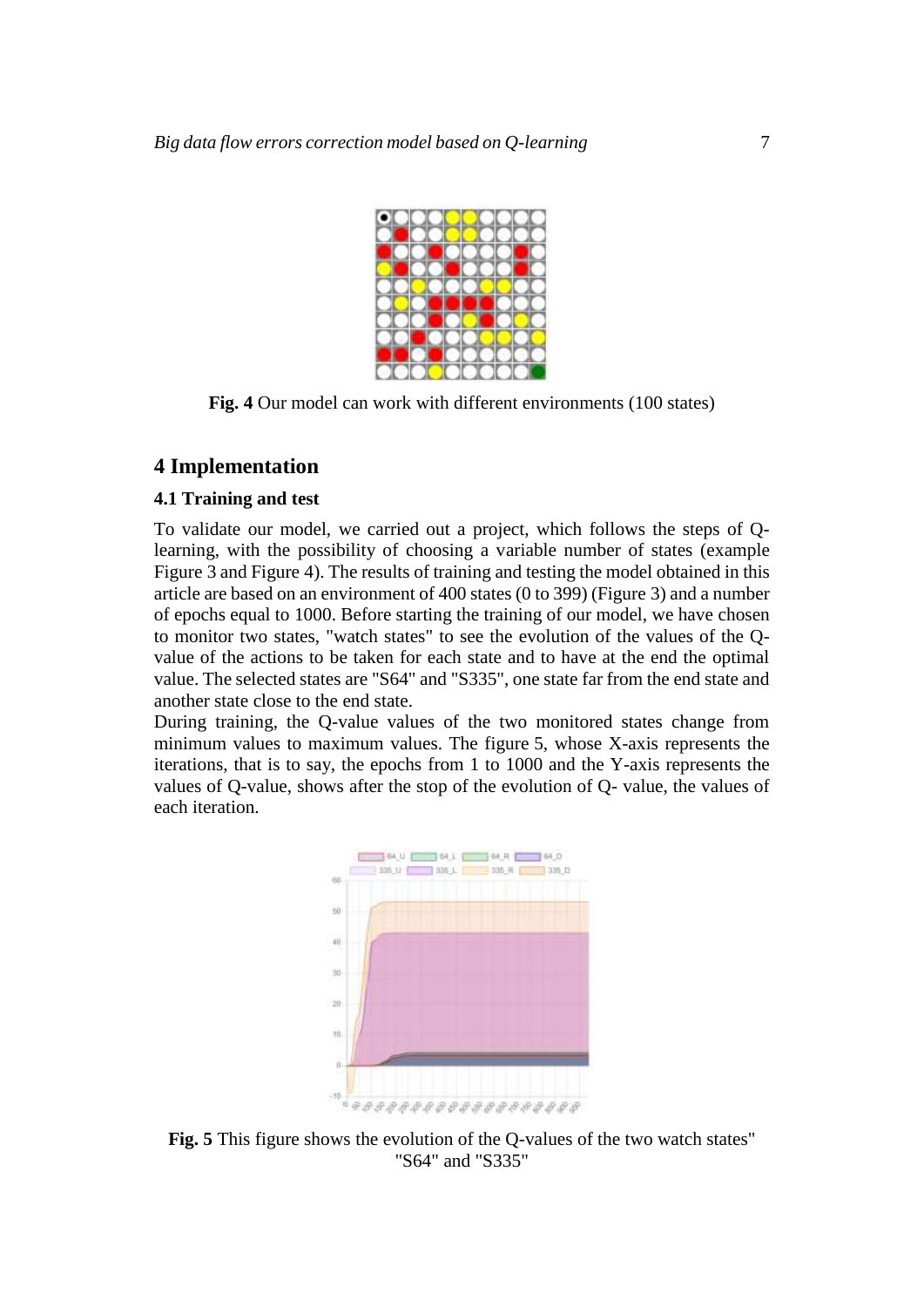

**Fig. 4** Our model can work with different environments (100 states)

## **4 Implementation**

### **4.1 Training and test**

To validate our model, we carried out a project, which follows the steps of Qlearning, with the possibility of choosing a variable number of states (example Figure 3 and Figure 4). The results of training and testing the model obtained in this article are based on an environment of 400 states (0 to 399) (Figure 3) and a number of epochs equal to 1000. Before starting the training of our model, we have chosen to monitor two states, "watch states" to see the evolution of the values of the Qvalue of the actions to be taken for each state and to have at the end the optimal value. The selected states are "S64" and "S335", one state far from the end state and another state close to the end state.

During training, the Q-value values of the two monitored states change from minimum values to maximum values. The figure 5, whose X-axis represents the iterations, that is to say, the epochs from 1 to 1000 and the Y-axis represents the values of Q-value, shows after the stop of the evolution of Q- value, the values of each iteration.



**Fig. 5** This figure shows the evolution of the Q-values of the two watch states" "S64" and "S335"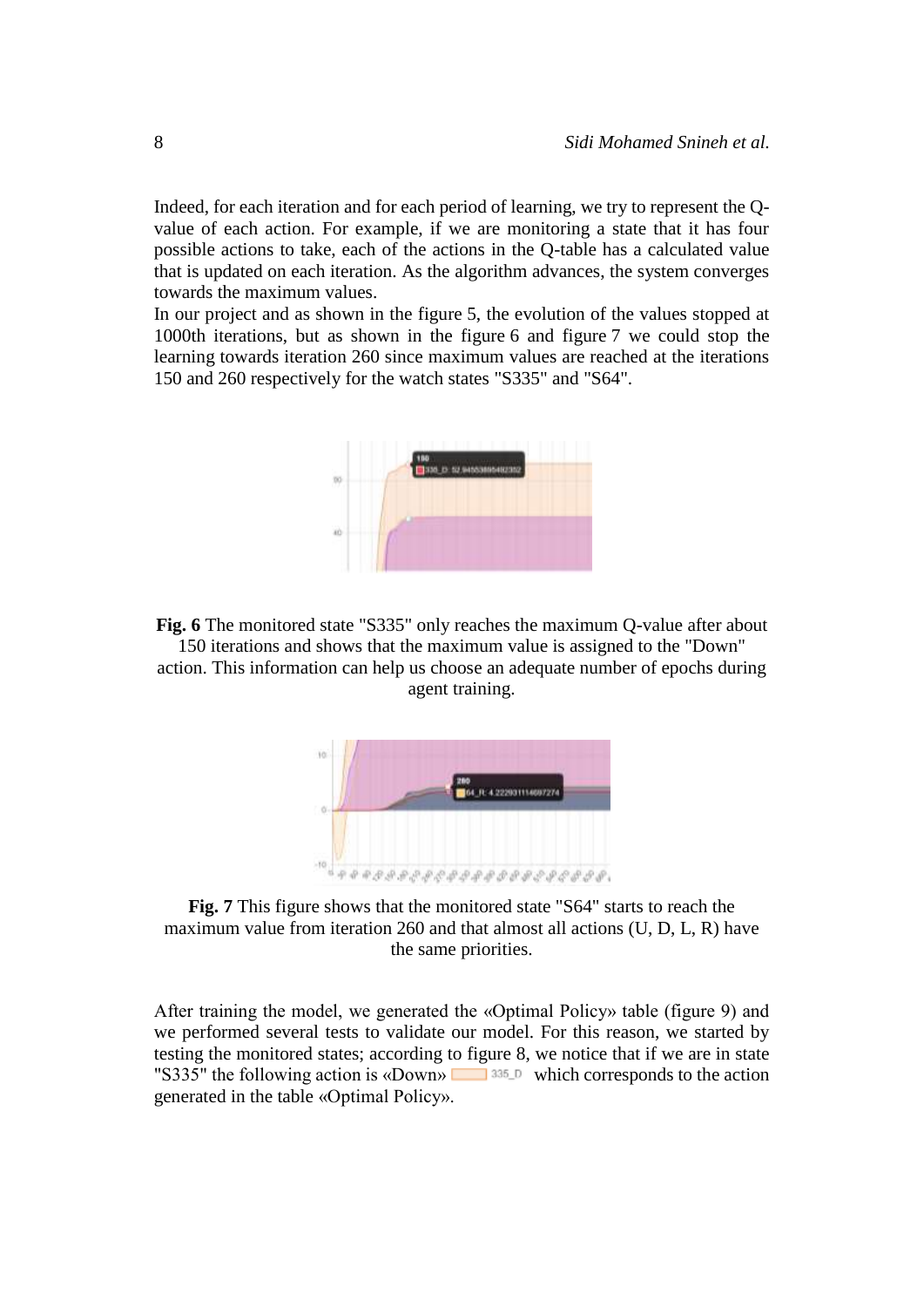Indeed, for each iteration and for each period of learning, we try to represent the Qvalue of each action. For example, if we are monitoring a state that it has four possible actions to take, each of the actions in the Q-table has a calculated value that is updated on each iteration. As the algorithm advances, the system converges towards the maximum values.

In our project and as shown in the figure 5, the evolution of the values stopped at 1000th iterations, but as shown in the figure 6 and figure 7 we could stop the learning towards iteration 260 since maximum values are reached at the iterations 150 and 260 respectively for the watch states "S335" and "S64".



**Fig. 6** The monitored state "S335" only reaches the maximum Q-value after about 150 iterations and shows that the maximum value is assigned to the "Down" action. This information can help us choose an adequate number of epochs during agent training.



**Fig. 7** This figure shows that the monitored state "S64" starts to reach the maximum value from iteration 260 and that almost all actions (U, D, L, R) have the same priorities.

After training the model, we generated the «Optimal Policy» table (figure 9) and we performed several tests to validate our model. For this reason, we started by testing the monitored states; according to figure 8, we notice that if we are in state "S335" the following action is «Down»  $\Box$  335 b which corresponds to the action generated in the table «Optimal Policy».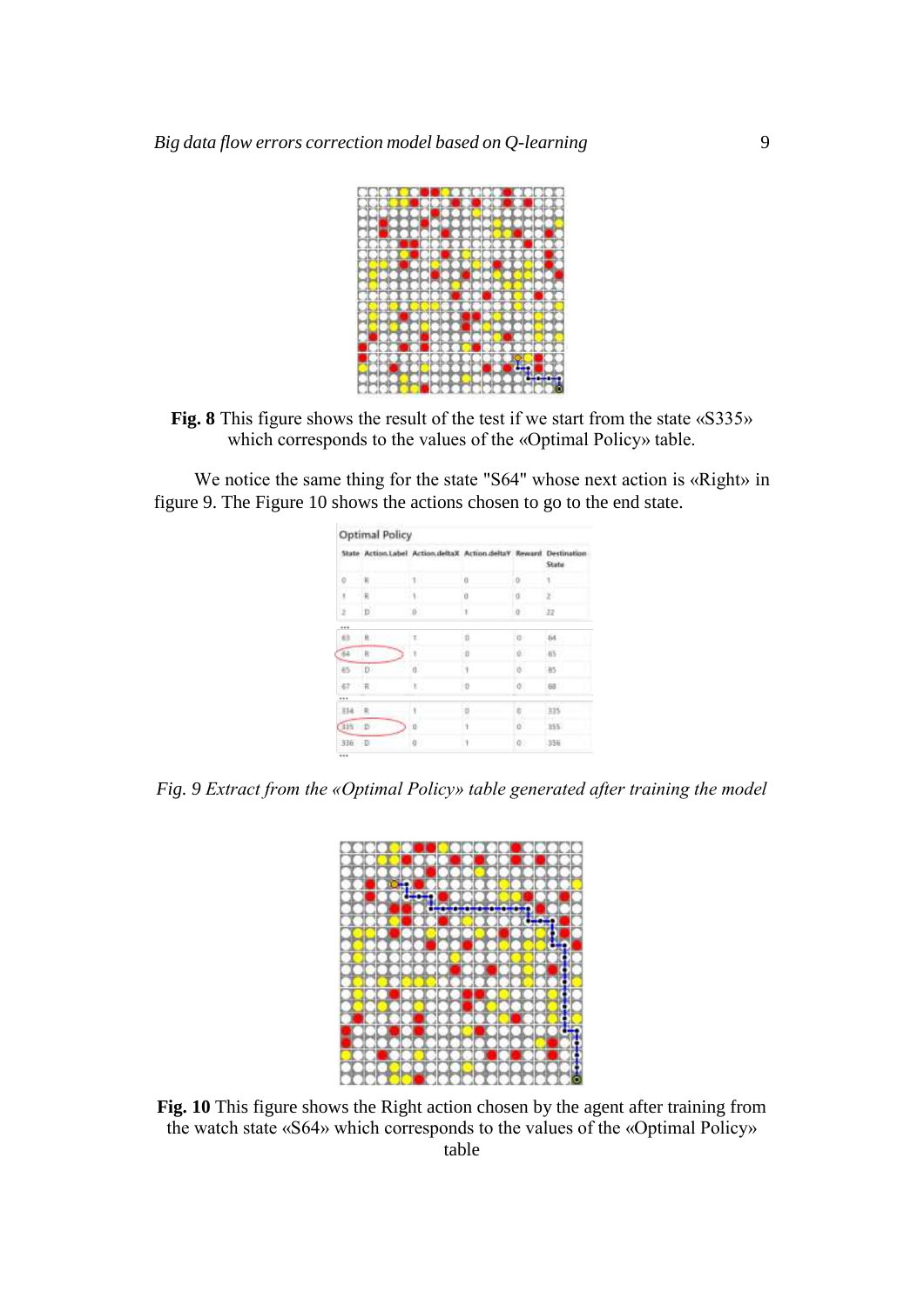

**Fig. 8** This figure shows the result of the test if we start from the state «S335» which corresponds to the values of the «Optimal Policy» table.

We notice the same thing for the state "S64" whose next action is «Right» in figure 9. The Figure 10 shows the actions chosen to go to the end state.

|                |       | State Action.Label Action.deltaX Action.deltaY Reward Destination |         |                     | State         |
|----------------|-------|-------------------------------------------------------------------|---------|---------------------|---------------|
| ö              |       |                                                                   | ū       | o                   |               |
| 3.             | R.    | $\mathcal{A}$                                                     | $\bf u$ | O.                  | Ď             |
| ×              | $D$ . | 0.1                                                               | ПU.     | s<br>$\overline{0}$ | 32            |
|                |       |                                                                   |         |                     |               |
| 63             | 和     | ٢.                                                                | i ti    | D.                  | 64.           |
| $\mathfrak{B}$ | R.    | t                                                                 | -0      | o.                  | 市5            |
| 35             | D.    | $\alpha$                                                          | U)      | ø.                  | 185           |
| 47 书           |       | E.                                                                | 20      | ö.                  | 88            |
|                |       |                                                                   |         |                     | <b>FTTYLE</b> |
| 314 R          |       | ŧ                                                                 | b<br>15 |                     | $-225$        |
| 335 D          |       | ū                                                                 |         | o.                  | 355           |
| 336 D          |       | O.                                                                | 13      | OD.                 | 356           |

*Fig. 9 Extract from the «Optimal Policy» table generated after training the model*



**Fig. 10** This figure shows the Right action chosen by the agent after training from the watch state «S64» which corresponds to the values of the «Optimal Policy» table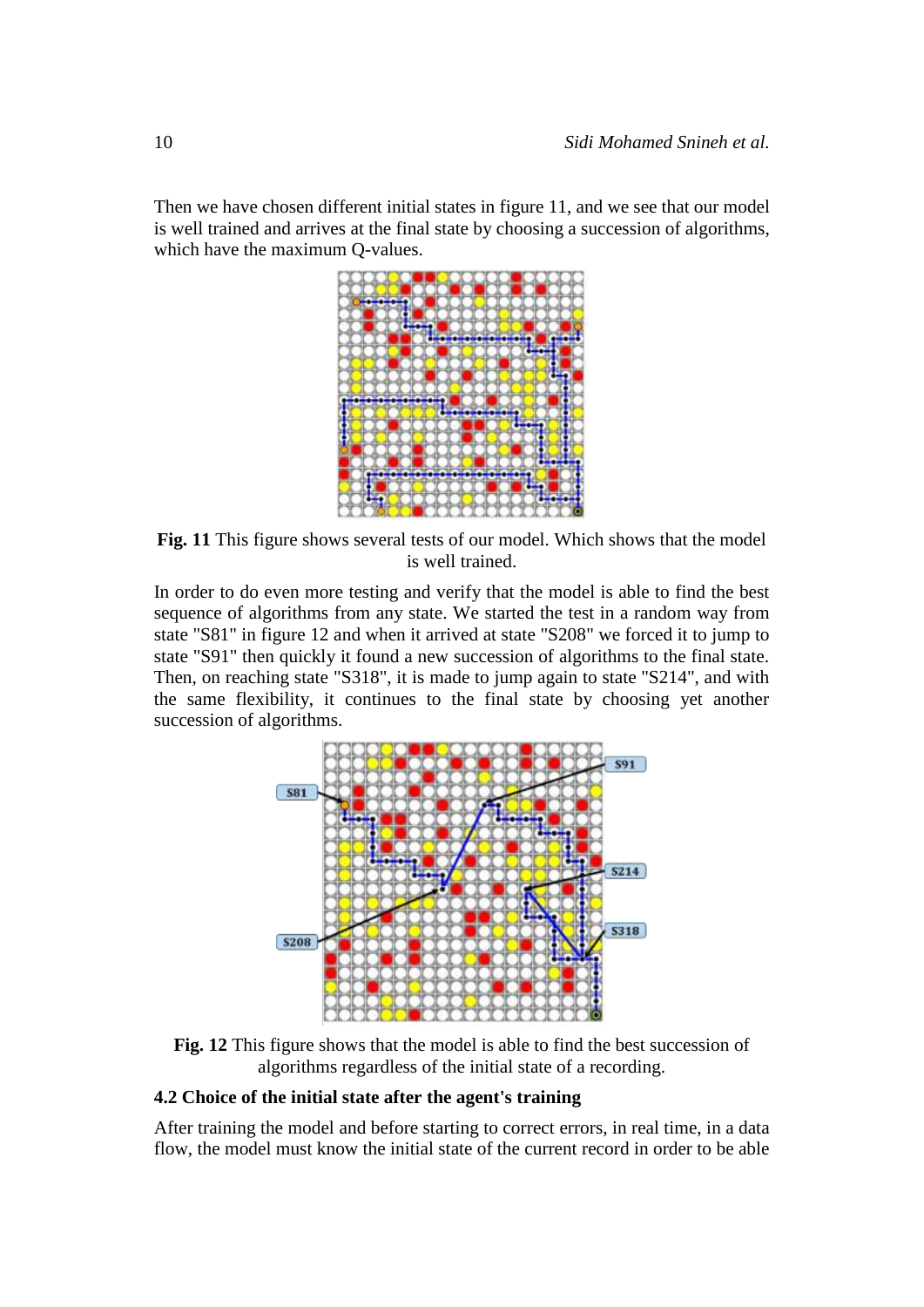Then we have chosen different initial states in figure 11, and we see that our model is well trained and arrives at the final state by choosing a succession of algorithms, which have the maximum Q-values.



**Fig. 11** This figure shows several tests of our model. Which shows that the model is well trained.

In order to do even more testing and verify that the model is able to find the best sequence of algorithms from any state. We started the test in a random way from state "S81" in figure 12 and when it arrived at state "S208" we forced it to jump to state "S91" then quickly it found a new succession of algorithms to the final state. Then, on reaching state "S318", it is made to jump again to state "S214", and with the same flexibility, it continues to the final state by choosing yet another succession of algorithms.



**Fig. 12** This figure shows that the model is able to find the best succession of algorithms regardless of the initial state of a recording.

### **4.2 Choice of the initial state after the agent's training**

After training the model and before starting to correct errors, in real time, in a data flow, the model must know the initial state of the current record in order to be able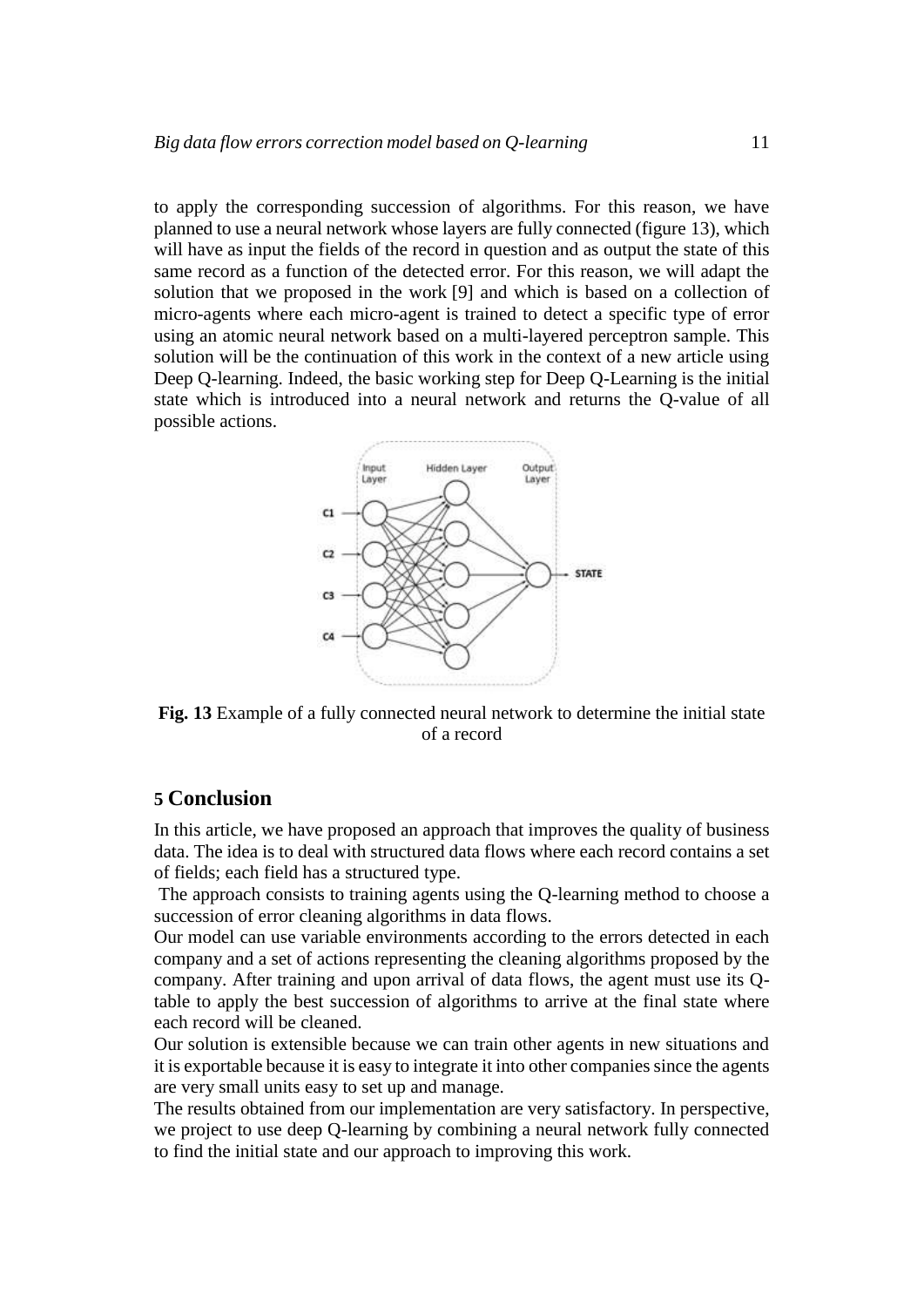to apply the corresponding succession of algorithms. For this reason, we have planned to use a neural network whose layers are fully connected (figure 13), which will have as input the fields of the record in question and as output the state of this same record as a function of the detected error. For this reason, we will adapt the solution that we proposed in the work [9] and which is based on a collection of micro-agents where each micro-agent is trained to detect a specific type of error using an atomic neural network based on a multi-layered perceptron sample. This solution will be the continuation of this work in the context of a new article using Deep Q-learning. Indeed, the basic working step for Deep Q-Learning is the initial state which is introduced into a neural network and returns the Q-value of all possible actions.



**Fig. 13** Example of a fully connected neural network to determine the initial state of a record

### **5 Conclusion**

In this article, we have proposed an approach that improves the quality of business data. The idea is to deal with structured data flows where each record contains a set of fields; each field has a structured type.

The approach consists to training agents using the Q-learning method to choose a succession of error cleaning algorithms in data flows.

Our model can use variable environments according to the errors detected in each company and a set of actions representing the cleaning algorithms proposed by the company. After training and upon arrival of data flows, the agent must use its Qtable to apply the best succession of algorithms to arrive at the final state where each record will be cleaned.

Our solution is extensible because we can train other agents in new situations and it is exportable because it is easy to integrate it into other companies since the agents are very small units easy to set up and manage.

The results obtained from our implementation are very satisfactory. In perspective, we project to use deep Q-learning by combining a neural network fully connected to find the initial state and our approach to improving this work.